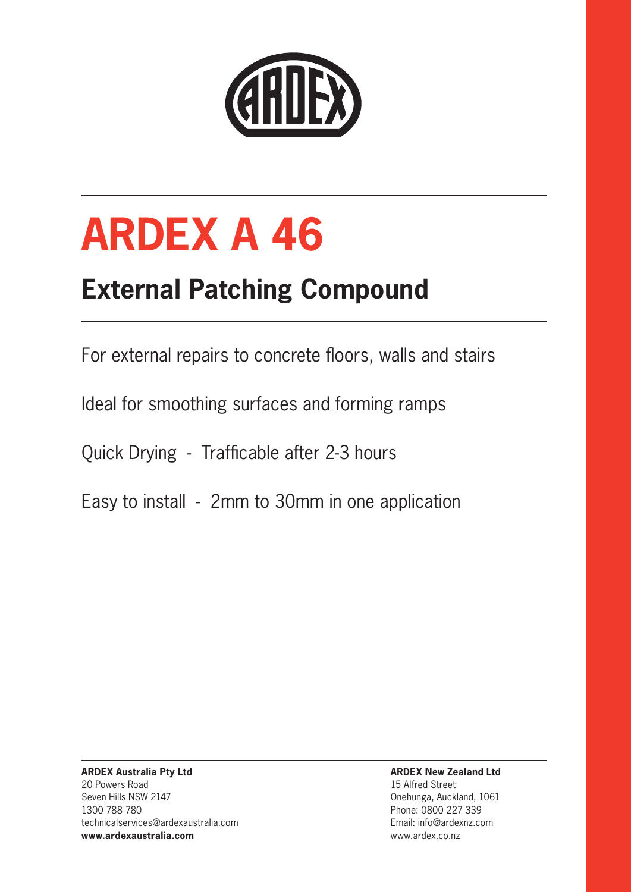

# **ARDEX A 46**

### **External Patching Compound**

For external repairs to concrete floors, walls and stairs

Ideal for smoothing surfaces and forming ramps

Quick Drying - Trafficable after 2-3 hours

Easy to install - 2mm to 30mm in one application

**ARDEX Australia Pty Ltd** 20 Powers Road Seven Hills NSW 2147 1300 788 780 technicalservices@ardexaustralia.com **www.ardexaustralia.com**

**ARDEX New Zealand Ltd** 15 Alfred Street Onehunga, Auckland, 1061 Phone: 0800 227 339 Email: info@ardexnz.com www.ardex.co.nz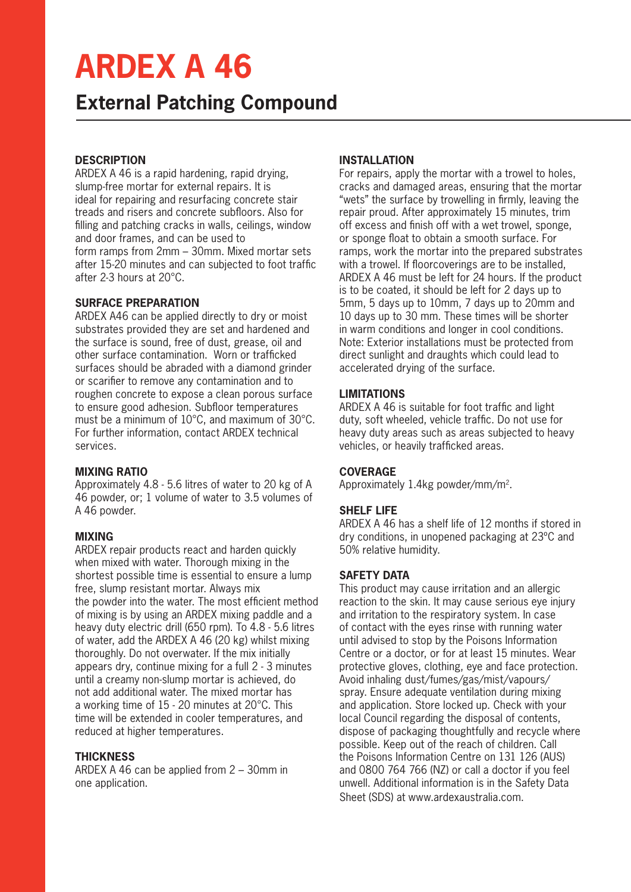# **ARDEX A 46**

### **External Patching Compound**

#### **DESCRIPTION**

ARDEX A 46 is a rapid hardening, rapid drying, slump-free mortar for external repairs. It is ideal for repairing and resurfacing concrete stair treads and risers and concrete subfloors. Also for filling and patching cracks in walls, ceilings, window and door frames, and can be used to form ramps from 2mm – 30mm. Mixed mortar sets after 15-20 minutes and can subjected to foot traffic after 2-3 hours at 20°C.

#### **SURFACE PREPARATION**

ARDEX A46 can be applied directly to dry or moist substrates provided they are set and hardened and the surface is sound, free of dust, grease, oil and other surface contamination. Worn or trafficked surfaces should be abraded with a diamond grinder or scarifier to remove any contamination and to roughen concrete to expose a clean porous surface to ensure good adhesion. Subfloor temperatures must be a minimum of 10°C, and maximum of 30°C. For further information, contact ARDEX technical services.

#### **MIXING RATIO**

Approximately 4.8 - 5.6 litres of water to 20 kg of A 46 powder, or; 1 volume of water to 3.5 volumes of A 46 powder.

#### **MIXING**

ARDEX repair products react and harden quickly when mixed with water. Thorough mixing in the shortest possible time is essential to ensure a lump free, slump resistant mortar. Always mix the powder into the water. The most efficient method of mixing is by using an ARDEX mixing paddle and a heavy duty electric drill (650 rpm). To 4.8 - 5.6 litres of water, add the ARDEX A 46 (20 kg) whilst mixing thoroughly. Do not overwater. If the mix initially appears dry, continue mixing for a full 2 - 3 minutes until a creamy non-slump mortar is achieved, do not add additional water. The mixed mortar has a working time of 15 - 20 minutes at 20°C. This time will be extended in cooler temperatures, and reduced at higher temperatures.

#### **THICKNESS**

ARDEX A 46 can be applied from 2 – 30mm in one application.

#### **INSTALLATION**

For repairs, apply the mortar with a trowel to holes, cracks and damaged areas, ensuring that the mortar "wets" the surface by trowelling in firmly, leaving the repair proud. After approximately 15 minutes, trim off excess and finish off with a wet trowel, sponge, or sponge float to obtain a smooth surface. For ramps, work the mortar into the prepared substrates with a trowel. If floorcoverings are to be installed. ARDEX A 46 must be left for 24 hours. If the product is to be coated, it should be left for 2 days up to 5mm, 5 days up to 10mm, 7 days up to 20mm and 10 days up to 30 mm. These times will be shorter in warm conditions and longer in cool conditions. Note: Exterior installations must be protected from direct sunlight and draughts which could lead to accelerated drying of the surface.

#### **LIMITATIONS**

ARDEX A 46 is suitable for foot traffic and light duty, soft wheeled, vehicle traffic. Do not use for heavy duty areas such as areas subjected to heavy vehicles, or heavily trafficked areas.

#### **COVERAGE**

Approximately 1.4kg powder/mm/m2.

#### **SHELF LIFE**

ARDEX A 46 has a shelf life of 12 months if stored in dry conditions, in unopened packaging at 23ºC and 50% relative humidity.

#### **SAFETY DATA**

This product may cause irritation and an allergic reaction to the skin. It may cause serious eye injury and irritation to the respiratory system. In case of contact with the eyes rinse with running water until advised to stop by the Poisons Information Centre or a doctor, or for at least 15 minutes. Wear protective gloves, clothing, eye and face protection. Avoid inhaling dust/fumes/gas/mist/vapours/ spray. Ensure adequate ventilation during mixing and application. Store locked up. Check with your local Council regarding the disposal of contents, dispose of packaging thoughtfully and recycle where possible. Keep out of the reach of children. Call the Poisons Information Centre on 131 126 (AUS) and 0800 764 766 (NZ) or call a doctor if you feel unwell. Additional information is in the Safety Data Sheet (SDS) at www.ardexaustralia.com.